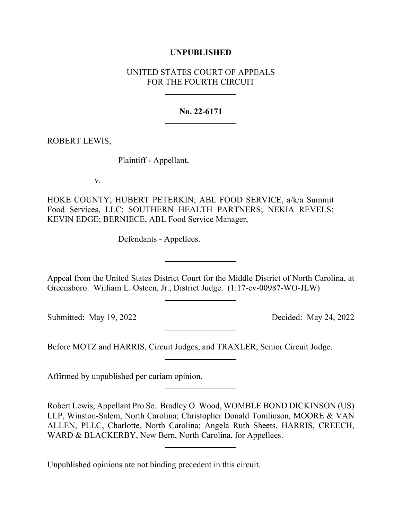## **UNPUBLISHED**

## UNITED STATES COURT OF APPEALS FOR THE FOURTH CIRCUIT

## **No. 22-6171**

ROBERT LEWIS,

Plaintiff - Appellant,

v.

HOKE COUNTY; HUBERT PETERKIN; ABL FOOD SERVICE, a/k/a Summit Food Services, LLC; SOUTHERN HEALTH PARTNERS; NEKIA REVELS; KEVIN EDGE; BERNIECE, ABL Food Service Manager,

Defendants - Appellees.

Appeal from the United States District Court for the Middle District of North Carolina, at Greensboro. William L. Osteen, Jr., District Judge. (1:17-cv-00987-WO-JLW)

Submitted: May 19, 2022 Decided: May 24, 2022

Before MOTZ and HARRIS, Circuit Judges, and TRAXLER, Senior Circuit Judge.

Affirmed by unpublished per curiam opinion.

Robert Lewis, Appellant Pro Se. Bradley O. Wood, WOMBLE BOND DICKINSON (US) LLP, Winston-Salem, North Carolina; Christopher Donald Tomlinson, MOORE & VAN ALLEN, PLLC, Charlotte, North Carolina; Angela Ruth Sheets, HARRIS, CREECH, WARD & BLACKERBY, New Bern, North Carolina, for Appellees.

Unpublished opinions are not binding precedent in this circuit.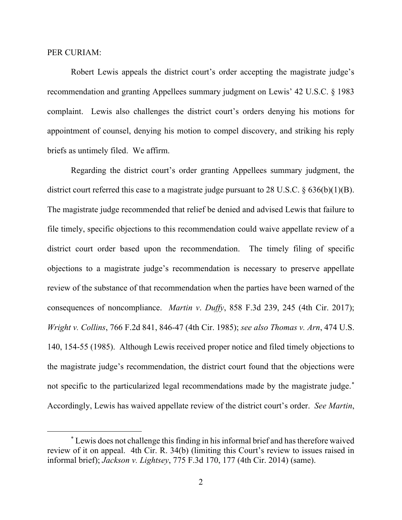## PER CURIAM:

Robert Lewis appeals the district court's order accepting the magistrate judge's recommendation and granting Appellees summary judgment on Lewis' 42 U.S.C. § 1983 complaint. Lewis also challenges the district court's orders denying his motions for appointment of counsel, denying his motion to compel discovery, and striking his reply briefs as untimely filed. We affirm.

Regarding the district court's order granting Appellees summary judgment, the district court referred this case to a magistrate judge pursuant to 28 U.S.C. § 636(b)(1)(B). The magistrate judge recommended that relief be denied and advised Lewis that failure to file timely, specific objections to this recommendation could waive appellate review of a district court order based upon the recommendation. The timely filing of specific objections to a magistrate judge's recommendation is necessary to preserve appellate review of the substance of that recommendation when the parties have been warned of the consequences of noncompliance. *Martin v*. *Duffy*, 858 F.3d 239, 245 (4th Cir. 2017); *Wright v. Collins*, 766 F.2d 841, 846-47 (4th Cir. 1985); *see also Thomas v. Arn*, 474 U.S. 140, 154-55 (1985). Although Lewis received proper notice and filed timely objections to the magistrate judge's recommendation, the district court found that the objections were not specific to the particularized legal recommendations made by the magistrate judge.[\\*](#page-1-0) Accordingly, Lewis has waived appellate review of the district court's order. *See Martin*,

<span id="page-1-0"></span><sup>\*</sup> Lewis does not challenge this finding in his informal brief and has therefore waived review of it on appeal. 4th Cir. R. 34(b) (limiting this Court's review to issues raised in informal brief); *Jackson v. Lightsey*, 775 F.3d 170, 177 (4th Cir. 2014) (same).